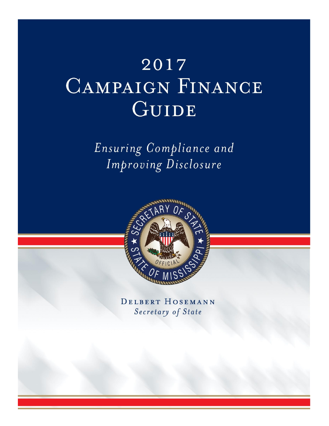# 2017 CAMPAIGN FINANCE GUIDE

Ensuring Compliance and Improving Disclosure



DELBERT HOSEMANN Secretary of State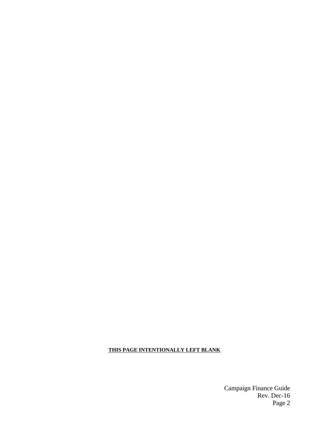### **THIS PAGE INTENTIONALLY LEFT BLANK**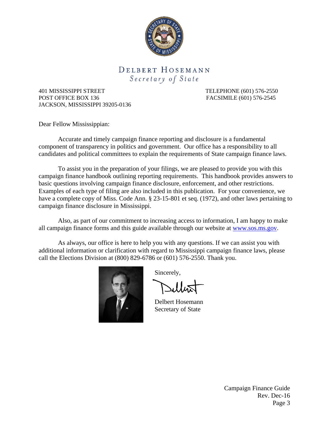

### DELBERT HOSEMANN Secretary of State

401 MISSISSIPPI STREET TELEPHONE (601) 576-2550 POST OFFICE BOX 136 FACSIMILE (601) 576-2545 JACKSON, MISSISSIPPI 39205-0136

Dear Fellow Mississippian:

Accurate and timely campaign finance reporting and disclosure is a fundamental component of transparency in politics and government. Our office has a responsibility to all candidates and political committees to explain the requirements of State campaign finance laws.

To assist you in the preparation of your filings, we are pleased to provide you with this campaign finance handbook outlining reporting requirements. This handbook provides answers to basic questions involving campaign finance disclosure, enforcement, and other restrictions. Examples of each type of filing are also included in this publication. For your convenience, we have a complete copy of Miss. Code Ann. § 23-15-801 et seq. (1972), and other laws pertaining to campaign finance disclosure in Mississippi.

Also, as part of our commitment to increasing access to information, I am happy to make all campaign finance forms and this guide available through our website at [www.sos.ms.gov.](http://www.sos.ms.gov/)

As always, our office is here to help you with any questions. If we can assist you with additional information or clarification with regard to Mississippi campaign finance laws, please call the Elections Division at (800) 829-6786 or (601) 576-2550. Thank you.



Sincerely,

Delbert Hosemann Secretary of State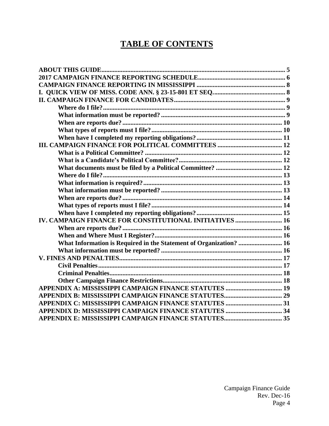# **TABLE OF CONTENTS**

| IV. CAMPAIGN FINANCE FOR CONSTITUTIONAL INITIATIVES  16            |
|--------------------------------------------------------------------|
|                                                                    |
|                                                                    |
| What Information is Required in the Statement of Organization?  16 |
|                                                                    |
|                                                                    |
|                                                                    |
|                                                                    |
|                                                                    |
|                                                                    |
|                                                                    |
|                                                                    |
|                                                                    |
|                                                                    |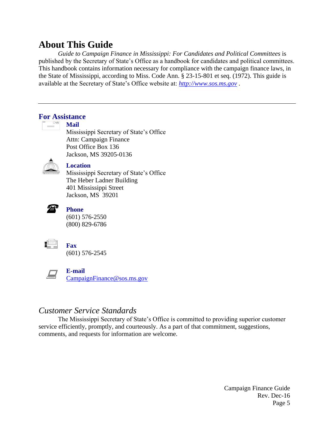### <span id="page-4-0"></span>**About This Guide**

*Guide to Campaign Finance in Mississippi: For Candidates and Political Committees* is published by the Secretary of State's Office as a handbook for candidates and political committees. This handbook contains information necessary for compliance with the campaign finance laws, in the State of Mississippi, according to Miss. Code Ann. § 23-15-801 et seq. (1972). This guide is available at the Secretary of State's Office website at: *[http://www.sos.ms.gov](http://www.sos.ms.gov/)* .

### **For Assistance**



**Mail** Mississippi Secretary of State's Office Attn: Campaign Finance

Post Office Box 136 Jackson, MS 39205-0136



### **Location**

Mississippi Secretary of State's Office The Heber Ladner Building 401 Mississippi Street Jackson, MS 39201



### *Phone*

(601) 576-2550 (800) 829-6786



### **Fax**

(601) 576-2545



**E-mail**

[CampaignFinance@sos.ms.gov](mailto:CampaignFinance@sos.ms.gov)

### *Customer Service Standards*

The Mississippi Secretary of State's Office is committed to providing superior customer service efficiently, promptly, and courteously. As a part of that commitment, suggestions, comments, and requests for information are welcome.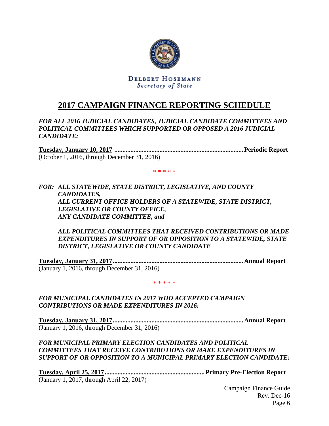

### DELBERT HOSEMANN Secretary of State

### **2017 CAMPAIGN FINANCE REPORTING SCHEDULE**

### <span id="page-5-0"></span>*FOR ALL 2016 JUDICIAL CANDIDATES, JUDICIAL CANDIDATE COMMITTEES AND POLITICAL COMMITTEES WHICH SUPPORTED OR OPPOSED A 2016 JUDICIAL CANDIDATE:*

**Tuesday, January 10, 2017 ................................................................................Periodic Report**  (October 1, 2016, through December 31, 2016)

#### \* \* \* \* \*

*FOR: ALL STATEWIDE, STATE DISTRICT, LEGISLATIVE, AND COUNTY CANDIDATES, ALL CURRENT OFFICE HOLDERS OF A STATEWIDE, STATE DISTRICT, LEGISLATIVE OR COUNTY OFFICE, ANY CANDIDATE COMMITTEE, and*

*ALL POLITICAL COMMITTEES THAT RECEIVED CONTRIBUTIONS OR MADE EXPENDITURES IN SUPPORT OF OR OPPOSITION TO A STATEWIDE, STATE DISTRICT, LEGISLATIVE OR COUNTY CANDIDATE*

**Tuesday, January 31, 2017.................................................................................Annual Report** (January 1, 2016, through December 31, 2016)

#### \* \* \* \* \*

### *FOR MUNICIPAL CANDIDATES IN 2017 WHO ACCEPTED CAMPAIGN CONTRIBUTIONS OR MADE EXPENDITURES IN 2016:*

**Tuesday, January 31, 2017.................................................................................Annual Report** (January 1, 2016, through December 31, 2016)

### *FOR MUNICIPAL PRIMARY ELECTION CANDIDATES AND POLITICAL COMMITTEES THAT RECEIVE CONTRIBUTIONS OR MAKE EXPENDITURES IN SUPPORT OF OR OPPOSITION TO A MUNICIPAL PRIMARY ELECTION CANDIDATE:*

**Tuesday, April 25, 2017..............................................................Primary Pre-Election Report** (January 1, 2017, through April 22, 2017)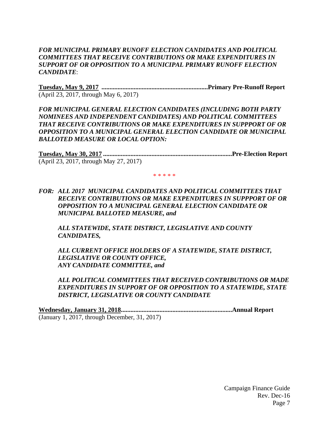*FOR MUNICIPAL PRIMARY RUNOFF ELECTION CANDIDATES AND POLITICAL COMMITTEES THAT RECEIVE CONTRIBUTIONS OR MAKE EXPENDITURES IN SUPPORT OF OR OPPOSITION TO A MUNICIPAL PRIMARY RUNOFF ELECTION CANDIDATE*:

**Tuesday, May 9, 2017 ..................................................................Primary Pre-Runoff Report** (April 23, 2017, through May 6, 2017)

*FOR MUNICIPAL GENERAL ELECTION CANDIDATES (INCLUDING BOTH PARTY NOMINEES AND INDEPENDENT CANDIDATES) AND POLITICAL COMMITTEES THAT RECEIVE CONTRIBUTIONS OR MAKE EXPENDITURES IN SUPPPORT OF OR OPPOSITION TO A MUNICIPAL GENERAL ELECTION CANDIDATE OR MUNICIPAL BALLOTED MEASURE OR LOCAL OPTION:* 

**Tuesday, May 30, 2017 ................................................................................Pre-Election Report** (April 23, 2017, through May 27, 2017)

\* \* \* \* \*

*FOR: ALL 2017 MUNICIPAL CANDIDATES AND POLITICAL COMMITTEES THAT RECEIVE CONTRIBUTIONS OR MAKE EXPENDITURES IN SUPPPORT OF OR OPPOSITION TO A MUNICIPAL GENERAL ELECTION CANDIDATE OR MUNICIPAL BALLOTED MEASURE, and* 

*ALL STATEWIDE, STATE DISTRICT, LEGISLATIVE AND COUNTY CANDIDATES,* 

*ALL CURRENT OFFICE HOLDERS OF A STATEWIDE, STATE DISTRICT, LEGISLATIVE OR COUNTY OFFICE, ANY CANDIDATE COMMITTEE, and* 

*ALL POLITICAL COMMITTEES THAT RECEIVED CONTRIBUTIONS OR MADE EXPENDITURES IN SUPPORT OF OR OPPOSITION TO A STATEWIDE, STATE DISTRICT, LEGISLATIVE OR COUNTY CANDIDATE*

**Wednesday, January 31, 2018.....................................................................Annual Report** (January 1, 2017, through December, 31, 2017)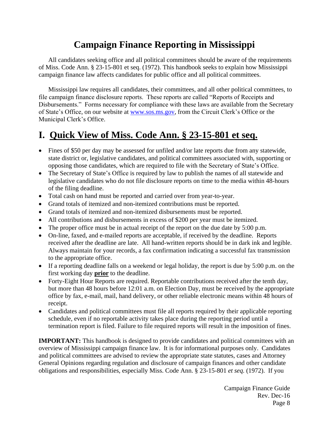# **Campaign Finance Reporting in Mississippi**

<span id="page-7-0"></span>All candidates seeking office and all political committees should be aware of the requirements of Miss. Code Ann. § 23-15-801 et seq. (1972). This handbook seeks to explain how Mississippi campaign finance law affects candidates for public office and all political committees.

Mississippi law requires all candidates, their committees, and all other political committees, to file campaign finance disclosure reports. These reports are called "Reports of Receipts and Disbursements." Forms necessary for compliance with these laws are available from the Secretary of State's Office, on our website at [www.sos.ms.gov,](http://www.sos.ms.gov/) from the Circuit Clerk's Office or the Municipal Clerk's Office.

### <span id="page-7-1"></span>**I. Quick View of Miss. Code Ann. § 23-15-801 et seq.**

- Fines of \$50 per day may be assessed for unfiled and/or late reports due from any statewide, state district or, legislative candidates, and political committees associated with, supporting or opposing those candidates, which are required to file with the Secretary of State's Office.
- The Secretary of State's Office is required by law to publish the names of all statewide and legislative candidates who do not file disclosure reports on time to the media within 48-hours of the filing deadline.
- Total cash on hand must be reported and carried over from year-to-year.
- Grand totals of itemized and non-itemized contributions must be reported.
- Grand totals of itemized and non-itemized disbursements must be reported.
- All contributions and disbursements in excess of \$200 per year must be itemized.
- The proper office must be in actual receipt of the report on the due date by 5:00 p.m.
- On-line, faxed, and e-mailed reports are acceptable, if received by the deadline. Reports received after the deadline are late. All hand-written reports should be in dark ink and legible. Always maintain for your records, a fax confirmation indicating a successful fax transmission to the appropriate office.
- If a reporting deadline falls on a weekend or legal holiday, the report is due by 5:00 p.m. on the first working day **prior** to the deadline.
- Forty-Eight Hour Reports are required. Reportable contributions received after the tenth day, but more than 48 hours before 12:01 a.m. on Election Day, must be received by the appropriate office by fax, e-mail, mail, hand delivery, or other reliable electronic means within 48 hours of receipt.
- Candidates and political committees must file all reports required by their applicable reporting schedule, even if no reportable activity takes place during the reporting period until a termination report is filed. Failure to file required reports will result in the imposition of fines.

**IMPORTANT:** This handbook is designed to provide candidates and political committees with an overview of Mississippi campaign finance law. It is for informational purposes only. Candidates and political committees are advised to review the appropriate state statutes, cases and Attorney General Opinions regarding regulation and disclosure of campaign finances and other candidate obligations and responsibilities, especially Miss. Code Ann. § 23-15-801 *et seq.* (1972). If you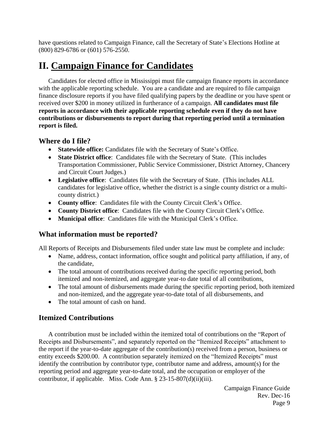have questions related to Campaign Finance, call the Secretary of State's Elections Hotline at (800) 829-6786 or (601) 576-2550.

# <span id="page-8-0"></span>**II. Campaign Finance for Candidates**

Candidates for elected office in Mississippi must file campaign finance reports in accordance with the applicable reporting schedule. You are a candidate and are required to file campaign finance disclosure reports if you have filed qualifying papers by the deadline or you have spent or received over \$200 in money utilized in furtherance of a campaign. **All candidates must file reports in accordance with their applicable reporting schedule even if they do not have contributions or disbursements to report during that reporting period until a termination report is filed.** 

### <span id="page-8-1"></span>**Where do I file?**

- **Statewide office:** Candidates file with the Secretary of State's Office.
- **State District office**: Candidates file with the Secretary of State. (This includes Transportation Commissioner, Public Service Commissioner, District Attorney, Chancery and Circuit Court Judges.)
- **Legislative office**: Candidates file with the Secretary of State. (This includes ALL candidates for legislative office, whether the district is a single county district or a multicounty district.)
- **County office**: Candidates file with the County Circuit Clerk's Office.
- **County District office**: Candidates file with the County Circuit Clerk's Office.
- **Municipal office**: Candidates file with the Municipal Clerk's Office.

### <span id="page-8-2"></span>**What information must be reported?**

All Reports of Receipts and Disbursements filed under state law must be complete and include:

- Name, address, contact information, office sought and political party affiliation, if any, of the candidate,
- The total amount of contributions received during the specific reporting period, both itemized and non-itemized, and aggregate year-to date total of all contributions,
- The total amount of disbursements made during the specific reporting period, both itemized and non-itemized, and the aggregate year-to-date total of all disbursements, and
- The total amount of cash on hand.

### **Itemized Contributions**

A contribution must be included within the itemized total of contributions on the "Report of Receipts and Disbursements", and separately reported on the "Itemized Receipts" attachment to the report if the year-to-date aggregate of the contribution(s) received from a person, business or entity exceeds \$200.00. A contribution separately itemized on the "Itemized Receipts" must identify the contribution by contributor type, contributor name and address, amount(s) for the reporting period and aggregate year-to-date total, and the occupation or employer of the contributor, if applicable. Miss. Code Ann.  $\S$  23-15-807(d)(ii)(iii).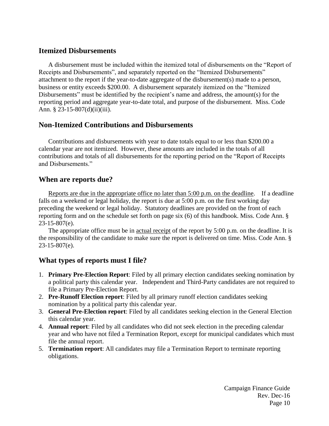### **Itemized Disbursements**

A disbursement must be included within the itemized total of disbursements on the "Report of Receipts and Disbursements", and separately reported on the "Itemized Disbursements" attachment to the report if the year-to-date aggregate of the disbursement(s) made to a person, business or entity exceeds \$200.00. A disbursement separately itemized on the "Itemized Disbursements" must be identified by the recipient's name and address, the amount(s) for the reporting period and aggregate year-to-date total, and purpose of the disbursement. Miss. Code Ann. § 23-15-807(d)(ii)(iii).

### **Non-Itemized Contributions and Disbursements**

Contributions and disbursements with year to date totals equal to or less than \$200.00 a calendar year are not itemized. However, these amounts are included in the totals of all contributions and totals of all disbursements for the reporting period on the "Report of Receipts and Disbursements."

### <span id="page-9-0"></span>**When are reports due?**

Reports are due in the appropriate office no later than 5:00 p.m. on the deadline. If a deadline falls on a weekend or legal holiday, the report is due at 5:00 p.m. on the first working day preceding the weekend or legal holiday. Statutory deadlines are provided on the front of each reporting form and on the schedule set forth on page six (6) of this handbook. Miss. Code Ann. §  $23-15-807(e)$ .

The appropriate office must be in <u>actual receipt</u> of the report by 5:00 p.m. on the deadline. It is the responsibility of the candidate to make sure the report is delivered on time. Miss. Code Ann. § 23-15-807(e).

### <span id="page-9-1"></span>**What types of reports must I file?**

- 1. **Primary Pre-Election Report**: Filed by all primary election candidates seeking nomination by a political party this calendar year. Independent and Third-Party candidates are not required to file a Primary Pre-Election Report.
- 2. **Pre-Runoff Election report**: Filed by all primary runoff election candidates seeking nomination by a political party this calendar year.
- 3. **General Pre-Election report**: Filed by all candidates seeking election in the General Election this calendar year.
- 4. **Annual report**: Filed by all candidates who did not seek election in the preceding calendar year and who have not filed a Termination Report, except for municipal candidates which must file the annual report.
- 5. **Termination report**: All candidates may file a Termination Report to terminate reporting obligations.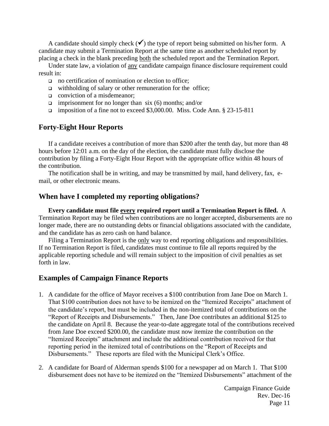A candidate should simply check  $(\checkmark)$  the type of report being submitted on his/her form. A candidate may submit a Termination Report at the same time as another scheduled report by placing a check in the blank preceding both the scheduled report and the Termination Report.

Under state law, a violation of any candidate campaign finance disclosure requirement could result in:

- no certification of nomination or election to office;
- withholding of salary or other remuneration for the office;
- $\Box$  conviction of a misdemeanor;
- imprisonment for no longer than six (6) months; and/or
- imposition of a fine not to exceed \$3,000.00. Miss. Code Ann. § 23-15-811

#### **Forty-Eight Hour Reports**

If a candidate receives a contribution of more than \$200 after the tenth day, but more than 48 hours before 12:01 a.m. on the day of the election, the candidate must fully disclose the contribution by filing a Forty-Eight Hour Report with the appropriate office within 48 hours of the contribution.

The notification shall be in writing, and may be transmitted by mail, hand delivery, fax, email, or other electronic means.

### <span id="page-10-0"></span>**When have I completed my reporting obligations?**

**Every candidate must file every required report until a Termination Report is filed.** A Termination Report may be filed when contributions are no longer accepted, disbursements are no longer made, there are no outstanding debts or financial obligations associated with the candidate, and the candidate has as zero cash on hand balance.

Filing a Termination Report is the only way to end reporting obligations and responsibilities. If no Termination Report is filed, candidates must continue to file all reports required by the applicable reporting schedule and will remain subject to the imposition of civil penalties as set forth in law.

#### **Examples of Campaign Finance Reports**

- 1. A candidate for the office of Mayor receives a \$100 contribution from Jane Doe on March 1. That \$100 contribution does not have to be itemized on the "Itemized Receipts" attachment of the candidate's report, but must be included in the non-itemized total of contributions on the "Report of Receipts and Disbursements." Then, Jane Doe contributes an additional \$125 to the candidate on April 8. Because the year-to-date aggregate total of the contributions received from Jane Doe exceed \$200.00, the candidate must now itemize the contribution on the "Itemized Receipts" attachment and include the additional contribution received for that reporting period in the itemized total of contributions on the "Report of Receipts and Disbursements." These reports are filed with the Municipal Clerk's Office.
- 2. A candidate for Board of Alderman spends \$100 for a newspaper ad on March 1. That \$100 disbursement does not have to be itemized on the "Itemized Disbursements" attachment of the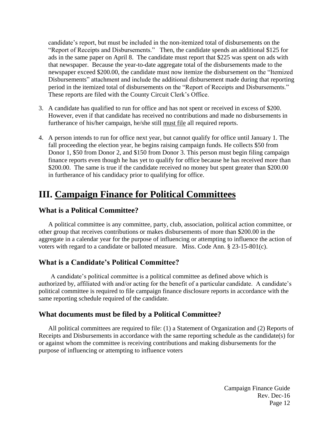candidate's report, but must be included in the non-itemized total of disbursements on the "Report of Receipts and Disbursements." Then, the candidate spends an additional \$125 for ads in the same paper on April 8. The candidate must report that \$225 was spent on ads with that newspaper. Because the year-to-date aggregate total of the disbursements made to the newspaper exceed \$200.00, the candidate must now itemize the disbursement on the "Itemized Disbursements" attachment and include the additional disbursement made during that reporting period in the itemized total of disbursements on the "Report of Receipts and Disbursements." These reports are filed with the County Circuit Clerk's Office.

- 3. A candidate has qualified to run for office and has not spent or received in excess of \$200. However, even if that candidate has received no contributions and made no disbursements in furtherance of his/her campaign, he/she still must file all required reports.
- 4. A person intends to run for office next year, but cannot qualify for office until January 1. The fall proceeding the election year, he begins raising campaign funds. He collects \$50 from Donor 1, \$50 from Donor 2, and \$150 from Donor 3. This person must begin filing campaign finance reports even though he has yet to qualify for office because he has received more than \$200.00. The same is true if the candidate received no money but spent greater than \$200.00 in furtherance of his candidacy prior to qualifying for office.

# <span id="page-11-0"></span>**III. Campaign Finance for Political Committees**

### <span id="page-11-1"></span>**What is a Political Committee?**

A political committee is any committee, party, club, association, political action committee, or other group that receives contributions or makes disbursements of more than \$200.00 in the aggregate in a calendar year for the purpose of influencing or attempting to influence the action of voters with regard to a candidate or balloted measure. Miss. Code Ann. § 23-15-801(c).

### <span id="page-11-2"></span>**What is a Candidate's Political Committee?**

A candidate's political committee is a political committee as defined above which is authorized by, affiliated with and/or acting for the benefit of a particular candidate. A candidate's political committee is required to file campaign finance disclosure reports in accordance with the same reporting schedule required of the candidate.

### <span id="page-11-3"></span>**What documents must be filed by a Political Committee?**

All political committees are required to file: (1) a Statement of Organization and (2) Reports of Receipts and Disbursements in accordance with the same reporting schedule as the candidate(s) for or against whom the committee is receiving contributions and making disbursements for the purpose of influencing or attempting to influence voters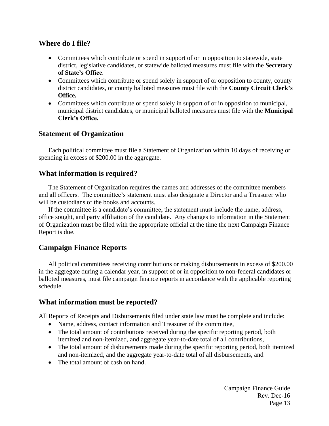### <span id="page-12-0"></span>**Where do I file?**

- Committees which contribute or spend in support of or in opposition to statewide, state district, legislative candidates, or statewide balloted measures must file with the **Secretary of State's Office**.
- Committees which contribute or spend solely in support of or opposition to county, county district candidates, or county balloted measures must file with the **County Circuit Clerk's Office.**
- Committees which contribute or spend solely in support of or in opposition to municipal, municipal district candidates, or municipal balloted measures must file with the **Municipal Clerk's Office.**

### **Statement of Organization**

Each political committee must file a Statement of Organization within 10 days of receiving or spending in excess of \$200.00 in the aggregate.

### <span id="page-12-1"></span>**What information is required?**

The Statement of Organization requires the names and addresses of the committee members and all officers. The committee's statement must also designate a Director and a Treasurer who will be custodians of the books and accounts.

If the committee is a candidate's committee, the statement must include the name, address, office sought, and party affiliation of the candidate. Any changes to information in the Statement of Organization must be filed with the appropriate official at the time the next Campaign Finance Report is due.

### **Campaign Finance Reports**

All political committees receiving contributions or making disbursements in excess of \$200.00 in the aggregate during a calendar year, in support of or in opposition to non-federal candidates or balloted measures, must file campaign finance reports in accordance with the applicable reporting schedule.

### <span id="page-12-2"></span>**What information must be reported?**

All Reports of Receipts and Disbursements filed under state law must be complete and include:

- Name, address, contact information and Treasurer of the committee,
- The total amount of contributions received during the specific reporting period, both itemized and non-itemized, and aggregate year-to-date total of all contributions,
- The total amount of disbursements made during the specific reporting period, both itemized and non-itemized, and the aggregate year-to-date total of all disbursements, and
- The total amount of cash on hand.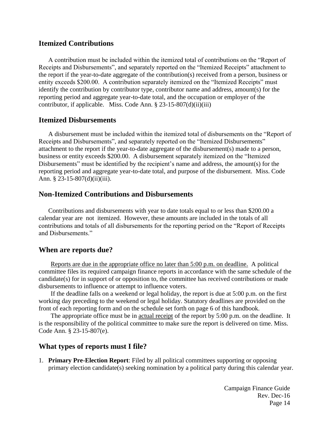### **Itemized Contributions**

A contribution must be included within the itemized total of contributions on the "Report of Receipts and Disbursements", and separately reported on the "Itemized Receipts" attachment to the report if the year-to-date aggregate of the contribution(s) received from a person, business or entity exceeds \$200.00. A contribution separately itemized on the "Itemized Receipts" must identify the contribution by contributor type, contributor name and address, amount(s) for the reporting period and aggregate year-to-date total, and the occupation or employer of the contributor, if applicable. Miss. Code Ann.  $\S 23-15-807(d)(ii)(iii)$ 

#### **Itemized Disbursements**

A disbursement must be included within the itemized total of disbursements on the "Report of Receipts and Disbursements", and separately reported on the "Itemized Disbursements" attachment to the report if the year-to-date aggregate of the disbursement(s) made to a person, business or entity exceeds \$200.00. A disbursement separately itemized on the "Itemized Disbursements" must be identified by the recipient's name and address, the amount(s) for the reporting period and aggregate year-to-date total, and purpose of the disbursement. Miss. Code Ann. § 23-15-807(d)(ii)(iii).

### **Non-Itemized Contributions and Disbursements**

Contributions and disbursements with year to date totals equal to or less than \$200.00 a calendar year are not itemized. However, these amounts are included in the totals of all contributions and totals of all disbursements for the reporting period on the "Report of Receipts and Disbursements."

#### <span id="page-13-0"></span>**When are reports due?**

Reports are due in the appropriate office no later than 5:00 p.m. on deadline. A political committee files its required campaign finance reports in accordance with the same schedule of the candidate(s) for in support of or opposition to, the committee has received contributions or made disbursements to influence or attempt to influence voters.

If the deadline falls on a weekend or legal holiday, the report is due at 5:00 p.m. on the first working day preceding to the weekend or legal holiday. Statutory deadlines are provided on the front of each reporting form and on the schedule set forth on page 6 of this handbook.

The appropriate office must be in actual receipt of the report by 5:00 p.m. on the deadline. It is the responsibility of the political committee to make sure the report is delivered on time. Miss. Code Ann. § 23-15-807(e).

### <span id="page-13-1"></span>**What types of reports must I file?**

1. **Primary Pre-Election Report**: Filed by all political committees supporting or opposing primary election candidate(s) seeking nomination by a political party during this calendar year.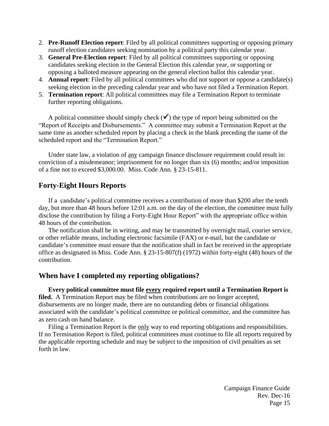- 2. **Pre-Runoff Election report**: Filed by all political committees supporting or opposing primary runoff election candidates seeking nomination by a political party this calendar year.
- 3. **General Pre-Election report**: Filed by all political committees supporting or opposing candidates seeking election in the General Election this calendar year, or supporting or opposing a balloted measure appearing on the general election ballot this calendar year.
- 4. **Annual report**: Filed by all political committees who did not support or oppose a candidate(s) seeking election in the preceding calendar year and who have not filed a Termination Report.
- 5. **Termination report**: All political committees may file a Termination Report to terminate further reporting obligations.

A political committee should simply check  $(\checkmark)$  the type of report being submitted on the "Report of Receipts and Disbursements." A committee may submit a Termination Report at the same time as another scheduled report by placing a check in the blank preceding the name of the scheduled report and the "Termination Report."

Under state law, a violation of any campaign finance disclosure requirement could result in: conviction of a misdemeanor; imprisonment for no longer than six (6) months; and/or imposition of a fine not to exceed \$3,000.00. Miss. Code Ann. § 23-15-811.

### **Forty-Eight Hours Reports**

If a candidate's political committee receives a contribution of more than \$200 after the tenth day, but more than 48 hours before 12:01 a.m. on the day of the election, the committee must fully disclose the contribution by filing a Forty-Eight Hour Report" with the appropriate office within 48 hours of the contribution.

The notification shall be in writing, and may be transmitted by overnight mail, courier service, or other reliable means, including electronic facsimile (FAX) or e-mail, but the candidate or candidate's committee must ensure that the notification shall in fact be received in the appropriate office as designated in Miss. Code Ann. § 23-15-807(f) (1972) within forty-eight (48) hours of the contribution.

### <span id="page-14-0"></span>**When have I completed my reporting obligations?**

**Every political committee must file every required report until a Termination Report is filed.** A Termination Report may be filed when contributions are no longer accepted, disbursements are no longer made, there are no outstanding debts or financial obligations associated with the candidate's political committee or political committee, and the committee has as zero cash on hand balance.

Filing a Termination Report is the only way to end reporting obligations and responsibilities. If no Termination Report is filed, political committees must continue to file all reports required by the applicable reporting schedule and may be subject to the imposition of civil penalties as set forth in law.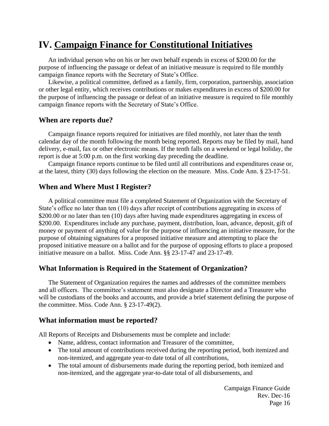# <span id="page-15-0"></span>**IV. Campaign Finance for Constitutional Initiatives**

An individual person who on his or her own behalf expends in excess of \$200.00 for the purpose of influencing the passage or defeat of an initiative measure is required to file monthly campaign finance reports with the Secretary of State's Office.

Likewise, a political committee, defined as a family, firm, corporation, partnership, association or other legal entity, which receives contributions or makes expenditures in excess of \$200.00 for the purpose of influencing the passage or defeat of an initiative measure is required to file monthly campaign finance reports with the Secretary of State's Office.

### <span id="page-15-1"></span>**When are reports due?**

Campaign finance reports required for initiatives are filed monthly, not later than the tenth calendar day of the month following the month being reported. Reports may be filed by mail, hand delivery, e-mail, fax or other electronic means. If the tenth falls on a weekend or legal holiday, the report is due at 5:00 p.m. on the first working day preceding the deadline.

Campaign finance reports continue to be filed until all contributions and expenditures cease or, at the latest, thirty (30) days following the election on the measure. Miss. Code Ann. § 23-17-51.

### <span id="page-15-2"></span>**When and Where Must I Register?**

A political committee must file a completed Statement of Organization with the Secretary of State's office no later than ten (10) days after receipt of contributions aggregating in excess of \$200.00 or no later than ten (10) days after having made expenditures aggregating in excess of \$200.00. Expenditures include any purchase, payment, distribution, loan, advance, deposit, gift of money or payment of anything of value for the purpose of influencing an initiative measure, for the purpose of obtaining signatures for a proposed initiative measure and attempting to place the proposed initiative measure on a ballot and for the purpose of opposing efforts to place a proposed initiative measure on a ballot. Miss. Code Ann. §§ 23-17-47 and 23-17-49.

### <span id="page-15-3"></span>**What Information is Required in the Statement of Organization?**

The Statement of Organization requires the names and addresses of the committee members and all officers. The committee's statement must also designate a Director and a Treasurer who will be custodians of the books and accounts, and provide a brief statement defining the purpose of the committee. Miss. Code Ann. § 23-17-49(2).

### <span id="page-15-4"></span>**What information must be reported?**

All Reports of Receipts and Disbursements must be complete and include:

- Name, address, contact information and Treasurer of the committee,
- The total amount of contributions received during the reporting period, both itemized and non-itemized, and aggregate year-to date total of all contributions,
- The total amount of disbursements made during the reporting period, both itemized and non-itemized, and the aggregate year-to-date total of all disbursements, and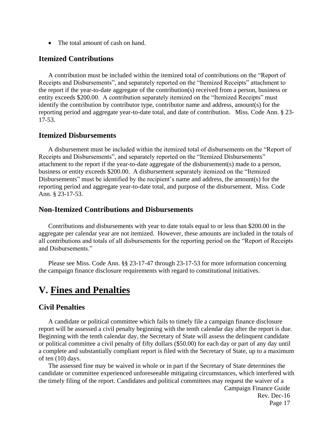• The total amount of cash on hand.

### **Itemized Contributions**

A contribution must be included within the itemized total of contributions on the "Report of Receipts and Disbursements", and separately reported on the "Itemized Receipts" attachment to the report if the year-to-date aggregate of the contribution(s) received from a person, business or entity exceeds \$200.00. A contribution separately itemized on the "Itemized Receipts" must identify the contribution by contributor type, contributor name and address, amount(s) for the reporting period and aggregate year-to-date total, and date of contribution. Miss. Code Ann. § 23- 17-53.

### **Itemized Disbursements**

A disbursement must be included within the itemized total of disbursements on the "Report of Receipts and Disbursements", and separately reported on the "Itemized Disbursements" attachment to the report if the year-to-date aggregate of the disbursement(s) made to a person, business or entity exceeds \$200.00. A disbursement separately itemized on the "Itemized Disbursements" must be identified by the recipient's name and address, the amount(s) for the reporting period and aggregate year-to-date total, and purpose of the disbursement. Miss. Code Ann. § 23-17-53.

### **Non-Itemized Contributions and Disbursements**

Contributions and disbursements with year to date totals equal to or less than \$200.00 in the aggregate per calendar year are not itemized. However, these amounts are included in the totals of all contributions and totals of all disbursements for the reporting period on the "Report of Receipts and Disbursements."

Please see Miss. Code Ann. §§ 23-17-47 through 23-17-53 for more information concerning the campaign finance disclosure requirements with regard to constitutional initiatives.

### <span id="page-16-0"></span>**V. Fines and Penalties**

### <span id="page-16-1"></span>**Civil Penalties**

A candidate or political committee which fails to timely file a campaign finance disclosure report will be assessed a civil penalty beginning with the tenth calendar day after the report is due. Beginning with the tenth calendar day, the Secretary of State will assess the delinquent candidate or political committee a civil penalty of fifty dollars (\$50.00) for each day or part of any day until a complete and substantially compliant report is filed with the Secretary of State, up to a maximum of ten (10) days.

The assessed fine may be waived in whole or in part if the Secretary of State determines the candidate or committee experienced unforeseeable mitigating circumstances, which interfered with the timely filing of the report. Candidates and political committees may request the waiver of a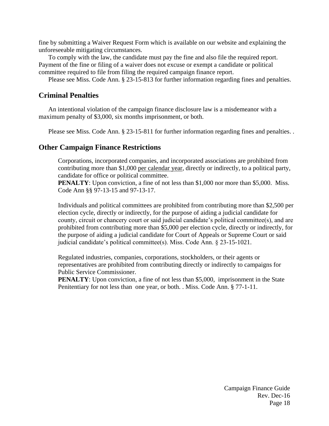fine by submitting a Waiver Request Form which is available on our website and explaining the unforeseeable mitigating circumstances.

To comply with the law, the candidate must pay the fine and also file the required report. Payment of the fine or filing of a waiver does not excuse or exempt a candidate or political committee required to file from filing the required campaign finance report.

Please see Miss. Code Ann. § 23-15-813 for further information regarding fines and penalties.

### <span id="page-17-0"></span>**Criminal Penalties**

An intentional violation of the campaign finance disclosure law is a misdemeanor with a maximum penalty of \$3,000, six months imprisonment, or both.

Please see Miss. Code Ann. § 23-15-811 for further information regarding fines and penalties. .

#### <span id="page-17-1"></span>**Other Campaign Finance Restrictions**

Corporations, incorporated companies, and incorporated associations are prohibited from contributing more than \$1,000 per calendar year, directly or indirectly, to a political party, candidate for office or political committee.

**PENALTY**: Upon conviction, a fine of not less than \$1,000 nor more than \$5,000. Miss. Code Ann §§ 97-13-15 and 97-13-17.

Individuals and political committees are prohibited from contributing more than \$2,500 per election cycle, directly or indirectly, for the purpose of aiding a judicial candidate for county, circuit or chancery court or said judicial candidate's political committee(s), and are prohibited from contributing more than \$5,000 per election cycle, directly or indirectly, for the purpose of aiding a judicial candidate for Court of Appeals or Supreme Court or said judicial candidate's political committee(s). Miss. Code Ann. § 23-15-1021.

Regulated industries, companies, corporations, stockholders, or their agents or representatives are prohibited from contributing directly or indirectly to campaigns for Public Service Commissioner.

**PENALTY:** Upon conviction, a fine of not less than \$5,000, imprisonment in the State Penitentiary for not less than one year, or both. . Miss. Code Ann. § 77-1-11.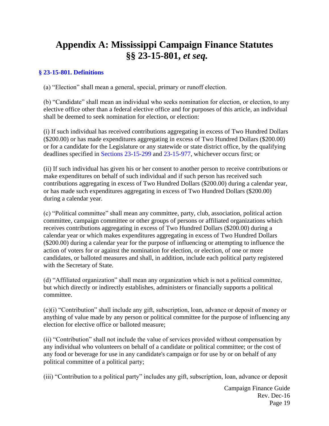# <span id="page-18-0"></span>**Appendix A: Mississippi Campaign Finance Statutes §§ 23-15-801,** *et seq.*

### **[§ 23-15-801. Definitions](http://www.westlaw.com/Find/Default.wl?rs=dfa1.0&vr=2.0&DB=MS-ST-ANN&DocName=LK%28MSSTS23-15-801%29&FindType=l)**

(a) "Election" shall mean a general, special, primary or runoff election.

(b) "Candidate" shall mean an individual who seeks nomination for election, or election, to any elective office other than a federal elective office and for purposes of this article, an individual shall be deemed to seek nomination for election, or election:

(i) If such individual has received contributions aggregating in excess of Two Hundred Dollars (\$200.00) or has made expenditures aggregating in excess of Two Hundred Dollars (\$200.00) or for a candidate for the Legislature or any statewide or state district office, by the qualifying deadlines specified in [Sections 23-15-299](http://www.westlaw.com/Find/Default.wl?rs=dfa1.0&vr=2.0&DB=1000933&DocName=MSSTS23-15-299&FindType=L) and [23-15-977,](http://www.westlaw.com/Find/Default.wl?rs=dfa1.0&vr=2.0&DB=1000933&DocName=MSSTS23-15-977&FindType=L) whichever occurs first; or

(ii) If such individual has given his or her consent to another person to receive contributions or make expenditures on behalf of such individual and if such person has received such contributions aggregating in excess of Two Hundred Dollars (\$200.00) during a calendar year, or has made such expenditures aggregating in excess of Two Hundred Dollars (\$200.00) during a calendar year.

(c) "Political committee" shall mean any committee, party, club, association, political action committee, campaign committee or other groups of persons or affiliated organizations which receives contributions aggregating in excess of Two Hundred Dollars (\$200.00) during a calendar year or which makes expenditures aggregating in excess of Two Hundred Dollars (\$200.00) during a calendar year for the purpose of influencing or attempting to influence the action of voters for or against the nomination for election, or election, of one or more candidates, or balloted measures and shall, in addition, include each political party registered with the Secretary of State.

(d) "Affiliated organization" shall mean any organization which is not a political committee, but which directly or indirectly establishes, administers or financially supports a political committee.

(e)(i) "Contribution" shall include any gift, subscription, loan, advance or deposit of money or anything of value made by any person or political committee for the purpose of influencing any election for elective office or balloted measure;

(ii) "Contribution" shall not include the value of services provided without compensation by any individual who volunteers on behalf of a candidate or political committee; or the cost of any food or beverage for use in any candidate's campaign or for use by or on behalf of any political committee of a political party;

(iii) "Contribution to a political party" includes any gift, subscription, loan, advance or deposit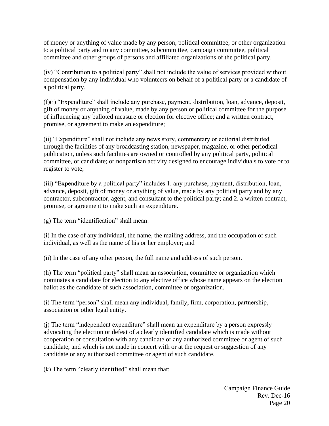of money or anything of value made by any person, political committee, or other organization to a political party and to any committee, subcommittee, campaign committee, political committee and other groups of persons and affiliated organizations of the political party.

(iv) "Contribution to a political party" shall not include the value of services provided without compensation by any individual who volunteers on behalf of a political party or a candidate of a political party.

(f)(i) "Expenditure" shall include any purchase, payment, distribution, loan, advance, deposit, gift of money or anything of value, made by any person or political committee for the purpose of influencing any balloted measure or election for elective office; and a written contract, promise, or agreement to make an expenditure;

(ii) "Expenditure" shall not include any news story, commentary or editorial distributed through the facilities of any broadcasting station, newspaper, magazine, or other periodical publication, unless such facilities are owned or controlled by any political party, political committee, or candidate; or nonpartisan activity designed to encourage individuals to vote or to register to vote;

(iii) "Expenditure by a political party" includes 1. any purchase, payment, distribution, loan, advance, deposit, gift of money or anything of value, made by any political party and by any contractor, subcontractor, agent, and consultant to the political party; and 2. a written contract, promise, or agreement to make such an expenditure.

(g) The term "identification" shall mean:

(i) In the case of any individual, the name, the mailing address, and the occupation of such individual, as well as the name of his or her employer; and

(ii) In the case of any other person, the full name and address of such person.

(h) The term "political party" shall mean an association, committee or organization which nominates a candidate for election to any elective office whose name appears on the election ballot as the candidate of such association, committee or organization.

(i) The term "person" shall mean any individual, family, firm, corporation, partnership, association or other legal entity.

(j) The term "independent expenditure" shall mean an expenditure by a person expressly advocating the election or defeat of a clearly identified candidate which is made without cooperation or consultation with any candidate or any authorized committee or agent of such candidate, and which is not made in concert with or at the request or suggestion of any candidate or any authorized committee or agent of such candidate.

(k) The term "clearly identified" shall mean that: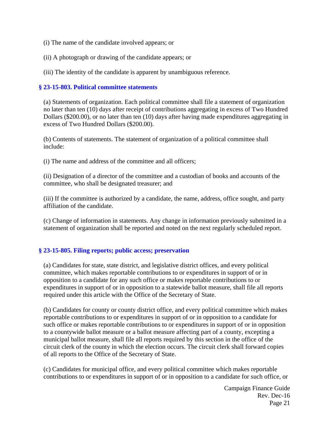- (i) The name of the candidate involved appears; or
- (ii) A photograph or drawing of the candidate appears; or

(iii) The identity of the candidate is apparent by unambiguous reference.

### **[§ 23-15-803. Political committee statements](http://www.westlaw.com/Find/Default.wl?rs=dfa1.0&vr=2.0&DB=MS-ST-ANN&DocName=LK%28MSSTS23-15-803%29&FindType=l)**

(a) Statements of organization. Each political committee shall file a statement of organization no later than ten (10) days after receipt of contributions aggregating in excess of Two Hundred Dollars (\$200.00), or no later than ten (10) days after having made expenditures aggregating in excess of Two Hundred Dollars (\$200.00).

(b) Contents of statements. The statement of organization of a political committee shall include:

(i) The name and address of the committee and all officers;

(ii) Designation of a director of the committee and a custodian of books and accounts of the committee, who shall be designated treasurer; and

(iii) If the committee is authorized by a candidate, the name, address, office sought, and party affiliation of the candidate.

(c) Change of information in statements. Any change in information previously submitted in a statement of organization shall be reported and noted on the next regularly scheduled report.

#### **[§ 23-15-805. Filing reports; public access; preservation](http://www.westlaw.com/Find/Default.wl?rs=dfa1.0&vr=2.0&DB=MS-ST-ANN&DocName=LK%28MSSTS23-15-805%29&FindType=l)**

(a) Candidates for state, state district, and legislative district offices, and every political committee, which makes reportable contributions to or expenditures in support of or in opposition to a candidate for any such office or makes reportable contributions to or expenditures in support of or in opposition to a statewide ballot measure, shall file all reports required under this article with the Office of the Secretary of State.

(b) Candidates for county or county district office, and every political committee which makes reportable contributions to or expenditures in support of or in opposition to a candidate for such office or makes reportable contributions to or expenditures in support of or in opposition to a countywide ballot measure or a ballot measure affecting part of a county, excepting a municipal ballot measure, shall file all reports required by this section in the office of the circuit clerk of the county in which the election occurs. The circuit clerk shall forward copies of all reports to the Office of the Secretary of State.

(c) Candidates for municipal office, and every political committee which makes reportable contributions to or expenditures in support of or in opposition to a candidate for such office, or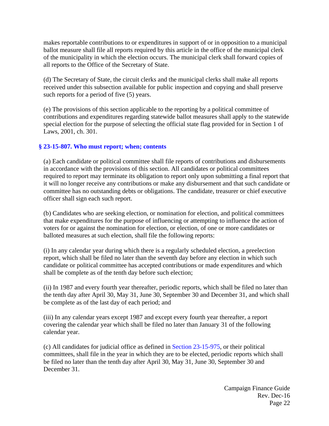makes reportable contributions to or expenditures in support of or in opposition to a municipal ballot measure shall file all reports required by this article in the office of the municipal clerk of the municipality in which the election occurs. The municipal clerk shall forward copies of all reports to the Office of the Secretary of State.

(d) The Secretary of State, the circuit clerks and the municipal clerks shall make all reports received under this subsection available for public inspection and copying and shall preserve such reports for a period of five  $(5)$  years.

(e) The provisions of this section applicable to the reporting by a political committee of contributions and expenditures regarding statewide ballot measures shall apply to the statewide special election for the purpose of selecting the official state flag provided for in Section 1 of Laws, 2001, ch. 301.

### **[§ 23-15-807. Who must report; when; contents](http://www.westlaw.com/Find/Default.wl?rs=dfa1.0&vr=2.0&DB=MS-ST-ANN&DocName=LK%28MSSTS23-15-807%29&FindType=l)**

(a) Each candidate or political committee shall file reports of contributions and disbursements in accordance with the provisions of this section. All candidates or political committees required to report may terminate its obligation to report only upon submitting a final report that it will no longer receive any contributions or make any disbursement and that such candidate or committee has no outstanding debts or obligations. The candidate, treasurer or chief executive officer shall sign each such report.

(b) Candidates who are seeking election, or nomination for election, and political committees that make expenditures for the purpose of influencing or attempting to influence the action of voters for or against the nomination for election, or election, of one or more candidates or balloted measures at such election, shall file the following reports:

(i) In any calendar year during which there is a regularly scheduled election, a preelection report, which shall be filed no later than the seventh day before any election in which such candidate or political committee has accepted contributions or made expenditures and which shall be complete as of the tenth day before such election;

(ii) In 1987 and every fourth year thereafter, periodic reports, which shall be filed no later than the tenth day after April 30, May 31, June 30, September 30 and December 31, and which shall be complete as of the last day of each period; and

(iii) In any calendar years except 1987 and except every fourth year thereafter, a report covering the calendar year which shall be filed no later than January 31 of the following calendar year.

(c) All candidates for judicial office as defined in [Section 23-15-975,](http://www.westlaw.com/Find/Default.wl?rs=dfa1.0&vr=2.0&DB=1000933&DocName=MSSTS23-15-975&FindType=L) or their political committees, shall file in the year in which they are to be elected, periodic reports which shall be filed no later than the tenth day after April 30, May 31, June 30, September 30 and December 31.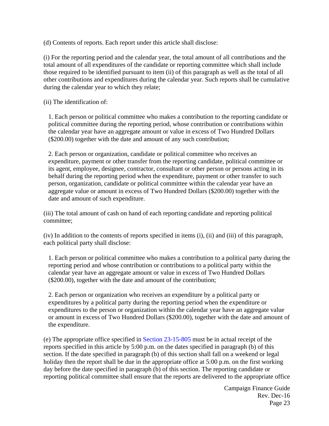(d) Contents of reports. Each report under this article shall disclose:

(i) For the reporting period and the calendar year, the total amount of all contributions and the total amount of all expenditures of the candidate or reporting committee which shall include those required to be identified pursuant to item (ii) of this paragraph as well as the total of all other contributions and expenditures during the calendar year. Such reports shall be cumulative during the calendar year to which they relate;

(ii) The identification of:

1. Each person or political committee who makes a contribution to the reporting candidate or political committee during the reporting period, whose contribution or contributions within the calendar year have an aggregate amount or value in excess of Two Hundred Dollars (\$200.00) together with the date and amount of any such contribution;

2. Each person or organization, candidate or political committee who receives an expenditure, payment or other transfer from the reporting candidate, political committee or its agent, employee, designee, contractor, consultant or other person or persons acting in its behalf during the reporting period when the expenditure, payment or other transfer to such person, organization, candidate or political committee within the calendar year have an aggregate value or amount in excess of Two Hundred Dollars (\$200.00) together with the date and amount of such expenditure.

(iii) The total amount of cash on hand of each reporting candidate and reporting political committee;

(iv) In addition to the contents of reports specified in items (i), (ii) and (iii) of this paragraph, each political party shall disclose:

1. Each person or political committee who makes a contribution to a political party during the reporting period and whose contribution or contributions to a political party within the calendar year have an aggregate amount or value in excess of Two Hundred Dollars (\$200.00), together with the date and amount of the contribution;

2. Each person or organization who receives an expenditure by a political party or expenditures by a political party during the reporting period when the expenditure or expenditures to the person or organization within the calendar year have an aggregate value or amount in excess of Two Hundred Dollars (\$200.00), together with the date and amount of the expenditure.

(e) The appropriate office specified in [Section 23-15-805](http://www.westlaw.com/Find/Default.wl?rs=dfa1.0&vr=2.0&DB=1000933&DocName=MSSTS23-15-805&FindType=L) must be in actual receipt of the reports specified in this article by 5:00 p.m. on the dates specified in paragraph (b) of this section. If the date specified in paragraph (b) of this section shall fall on a weekend or legal holiday then the report shall be due in the appropriate office at 5:00 p.m. on the first working day before the date specified in paragraph (b) of this section. The reporting candidate or reporting political committee shall ensure that the reports are delivered to the appropriate office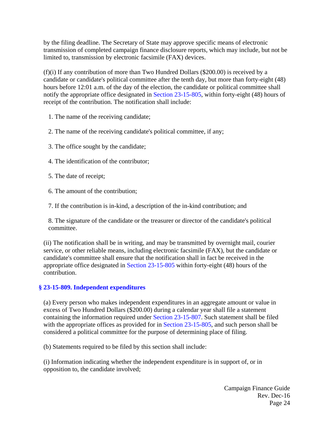by the filing deadline. The Secretary of State may approve specific means of electronic transmission of completed campaign finance disclosure reports, which may include, but not be limited to, transmission by electronic facsimile (FAX) devices.

(f)(i) If any contribution of more than Two Hundred Dollars (\$200.00) is received by a candidate or candidate's political committee after the tenth day, but more than forty-eight (48) hours before 12:01 a.m. of the day of the election, the candidate or political committee shall notify the appropriate office designated in [Section 23-15-805,](http://www.westlaw.com/Find/Default.wl?rs=dfa1.0&vr=2.0&DB=1000933&DocName=MSSTS23-15-805&FindType=L) within forty-eight (48) hours of receipt of the contribution. The notification shall include:

1. The name of the receiving candidate;

2. The name of the receiving candidate's political committee, if any;

3. The office sought by the candidate;

4. The identification of the contributor;

5. The date of receipt;

6. The amount of the contribution;

7. If the contribution is in-kind, a description of the in-kind contribution; and

8. The signature of the candidate or the treasurer or director of the candidate's political committee.

(ii) The notification shall be in writing, and may be transmitted by overnight mail, courier service, or other reliable means, including electronic facsimile (FAX), but the candidate or candidate's committee shall ensure that the notification shall in fact be received in the appropriate office designated in [Section 23-15-805](http://www.westlaw.com/Find/Default.wl?rs=dfa1.0&vr=2.0&DB=1000933&DocName=MSSTS23-15-805&FindType=L) within forty-eight (48) hours of the contribution.

### **[§ 23-15-809. Independent expenditures](http://www.westlaw.com/Find/Default.wl?rs=dfa1.0&vr=2.0&DB=MS-ST-ANN&DocName=LK%28MSSTS23-15-809%29&FindType=l)**

(a) Every person who makes independent expenditures in an aggregate amount or value in excess of Two Hundred Dollars (\$200.00) during a calendar year shall file a statement containing the information required under [Section 23-15-807.](http://www.westlaw.com/Find/Default.wl?rs=dfa1.0&vr=2.0&DB=1000933&DocName=MSSTS23-15-807&FindType=L) Such statement shall be filed with the appropriate offices as provided for in [Section 23-15-805,](http://www.westlaw.com/Find/Default.wl?rs=dfa1.0&vr=2.0&DB=1000933&DocName=MSSTS23-15-805&FindType=L) and such person shall be considered a political committee for the purpose of determining place of filing.

(b) Statements required to be filed by this section shall include:

(i) Information indicating whether the independent expenditure is in support of, or in opposition to, the candidate involved;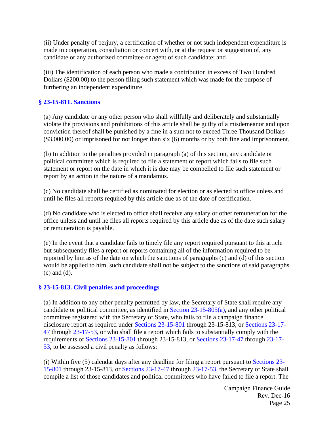(ii) Under penalty of perjury, a certification of whether or not such independent expenditure is made in cooperation, consultation or concert with, or at the request or suggestion of, any candidate or any authorized committee or agent of such candidate; and

(iii) The identification of each person who made a contribution in excess of Two Hundred Dollars (\$200.00) to the person filing such statement which was made for the purpose of furthering an independent expenditure.

### **[§ 23-15-811. Sanctions](http://www.westlaw.com/Find/Default.wl?rs=dfa1.0&vr=2.0&DB=MS-ST-ANN&DocName=LK%28MSSTS23-15-811%29&FindType=l)**

(a) Any candidate or any other person who shall willfully and deliberately and substantially violate the provisions and prohibitions of this article shall be guilty of a misdemeanor and upon conviction thereof shall be punished by a fine in a sum not to exceed Three Thousand Dollars (\$3,000.00) or imprisoned for not longer than six (6) months or by both fine and imprisonment.

(b) In addition to the penalties provided in paragraph (a) of this section, any candidate or political committee which is required to file a statement or report which fails to file such statement or report on the date in which it is due may be compelled to file such statement or report by an action in the nature of a mandamus.

(c) No candidate shall be certified as nominated for election or as elected to office unless and until he files all reports required by this article due as of the date of certification.

(d) No candidate who is elected to office shall receive any salary or other remuneration for the office unless and until he files all reports required by this article due as of the date such salary or remuneration is payable.

(e) In the event that a candidate fails to timely file any report required pursuant to this article but subsequently files a report or reports containing all of the information required to be reported by him as of the date on which the sanctions of paragraphs (c) and (d) of this section would be applied to him, such candidate shall not be subject to the sanctions of said paragraphs (c) and (d).

### **[§ 23-15-813. Civil penalties and proceedings](http://www.westlaw.com/Find/Default.wl?rs=dfa1.0&vr=2.0&DB=MS-ST-ANN&DocName=LK%28MSSTS23-15-813%29&FindType=l)**

(a) In addition to any other penalty permitted by law, the Secretary of State shall require any candidate or political committee, as identified in [Section 23-15-805\(a\),](http://www.westlaw.com/Find/Default.wl?rs=dfa1.0&vr=2.0&DB=1000933&DocName=MSSTS23-15-805&FindType=L&ReferencePositionType=T&ReferencePosition=SP_8b3b0000958a4) and any other political committee registered with the Secretary of State, who fails to file a campaign finance disclosure report as required under [Sections 23-15-801](http://www.westlaw.com/Find/Default.wl?rs=dfa1.0&vr=2.0&DB=1000933&DocName=MSSTS23-15-801&FindType=L) through 23-15-813, or [Sections 23-17-](http://www.westlaw.com/Find/Default.wl?rs=dfa1.0&vr=2.0&DB=1000933&DocName=MSSTS23-17-47&FindType=L) [47](http://www.westlaw.com/Find/Default.wl?rs=dfa1.0&vr=2.0&DB=1000933&DocName=MSSTS23-17-47&FindType=L) through [23-17-53,](http://www.westlaw.com/Find/Default.wl?rs=dfa1.0&vr=2.0&DB=1000933&DocName=MSSTS23-17-53&FindType=L) or who shall file a report which fails to substantially comply with the requirements of [Sections 23-15-801](http://www.westlaw.com/Find/Default.wl?rs=dfa1.0&vr=2.0&DB=1000933&DocName=MSSTS23-15-801&FindType=L) through 23-15-813, or [Sections 23-17-47](http://www.westlaw.com/Find/Default.wl?rs=dfa1.0&vr=2.0&DB=1000933&DocName=MSSTS23-17-47&FindType=L) through [23-17-](http://www.westlaw.com/Find/Default.wl?rs=dfa1.0&vr=2.0&DB=1000933&DocName=MSSTS23-17-53&FindType=L) [53,](http://www.westlaw.com/Find/Default.wl?rs=dfa1.0&vr=2.0&DB=1000933&DocName=MSSTS23-17-53&FindType=L) to be assessed a civil penalty as follows:

(i) Within five (5) calendar days after any deadline for filing a report pursuant to [Sections 23-](http://www.westlaw.com/Find/Default.wl?rs=dfa1.0&vr=2.0&DB=1000933&DocName=MSSTS23-15-801&FindType=L) [15-801](http://www.westlaw.com/Find/Default.wl?rs=dfa1.0&vr=2.0&DB=1000933&DocName=MSSTS23-15-801&FindType=L) through 23-15-813, or [Sections 23-17-47](http://www.westlaw.com/Find/Default.wl?rs=dfa1.0&vr=2.0&DB=1000933&DocName=MSSTS23-17-47&FindType=L) through [23-17-53,](http://www.westlaw.com/Find/Default.wl?rs=dfa1.0&vr=2.0&DB=1000933&DocName=MSSTS23-17-53&FindType=L) the Secretary of State shall compile a list of those candidates and political committees who have failed to file a report. The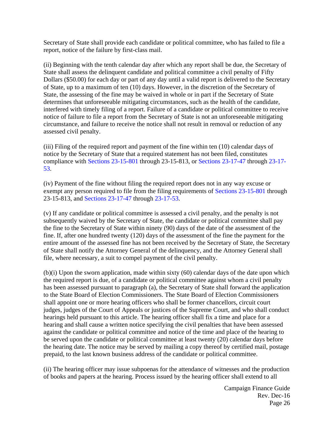Secretary of State shall provide each candidate or political committee, who has failed to file a report, notice of the failure by first-class mail.

(ii) Beginning with the tenth calendar day after which any report shall be due, the Secretary of State shall assess the delinquent candidate and political committee a civil penalty of Fifty Dollars (\$50.00) for each day or part of any day until a valid report is delivered to the Secretary of State, up to a maximum of ten (10) days. However, in the discretion of the Secretary of State, the assessing of the fine may be waived in whole or in part if the Secretary of State determines that unforeseeable mitigating circumstances, such as the health of the candidate, interfered with timely filing of a report. Failure of a candidate or political committee to receive notice of failure to file a report from the Secretary of State is not an unforeseeable mitigating circumstance, and failure to receive the notice shall not result in removal or reduction of any assessed civil penalty.

(iii) Filing of the required report and payment of the fine within ten (10) calendar days of notice by the Secretary of State that a required statement has not been filed, constitutes compliance with [Sections 23-15-801](http://www.westlaw.com/Find/Default.wl?rs=dfa1.0&vr=2.0&DB=1000933&DocName=MSSTS23-15-801&FindType=L) through 23-15-813, or [Sections 23-17-47](http://www.westlaw.com/Find/Default.wl?rs=dfa1.0&vr=2.0&DB=1000933&DocName=MSSTS23-17-47&FindType=L) through [23-17-](http://www.westlaw.com/Find/Default.wl?rs=dfa1.0&vr=2.0&DB=1000933&DocName=MSSTS23-17-53&FindType=L) [53.](http://www.westlaw.com/Find/Default.wl?rs=dfa1.0&vr=2.0&DB=1000933&DocName=MSSTS23-17-53&FindType=L)

(iv) Payment of the fine without filing the required report does not in any way excuse or exempt any person required to file from the filing requirements of [Sections 23-15-801](http://www.westlaw.com/Find/Default.wl?rs=dfa1.0&vr=2.0&DB=1000933&DocName=MSSTS23-15-801&FindType=L) through 23-15-813, and [Sections 23-17-47](http://www.westlaw.com/Find/Default.wl?rs=dfa1.0&vr=2.0&DB=1000933&DocName=MSSTS23-17-47&FindType=L) through [23-17-53.](http://www.westlaw.com/Find/Default.wl?rs=dfa1.0&vr=2.0&DB=1000933&DocName=MSSTS23-17-53&FindType=L)

(v) If any candidate or political committee is assessed a civil penalty, and the penalty is not subsequently waived by the Secretary of State, the candidate or political committee shall pay the fine to the Secretary of State within ninety (90) days of the date of the assessment of the fine. If, after one hundred twenty (120) days of the assessment of the fine the payment for the entire amount of the assessed fine has not been received by the Secretary of State, the Secretary of State shall notify the Attorney General of the delinquency, and the Attorney General shall file, where necessary, a suit to compel payment of the civil penalty.

(b)(i) Upon the sworn application, made within sixty (60) calendar days of the date upon which the required report is due, of a candidate or political committee against whom a civil penalty has been assessed pursuant to paragraph (a), the Secretary of State shall forward the application to the State Board of Election Commissioners. The State Board of Election Commissioners shall appoint one or more hearing officers who shall be former chancellors, circuit court judges, judges of the Court of Appeals or justices of the Supreme Court, and who shall conduct hearings held pursuant to this article. The hearing officer shall fix a time and place for a hearing and shall cause a written notice specifying the civil penalties that have been assessed against the candidate or political committee and notice of the time and place of the hearing to be served upon the candidate or political committee at least twenty (20) calendar days before the hearing date. The notice may be served by mailing a copy thereof by certified mail, postage prepaid, to the last known business address of the candidate or political committee.

(ii) The hearing officer may issue subpoenas for the attendance of witnesses and the production of books and papers at the hearing. Process issued by the hearing officer shall extend to all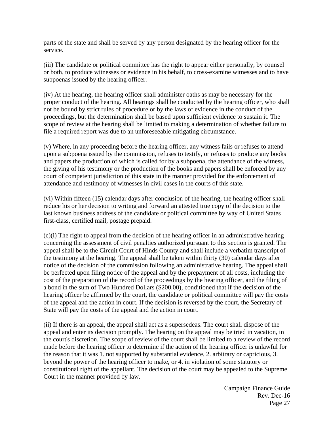parts of the state and shall be served by any person designated by the hearing officer for the service.

(iii) The candidate or political committee has the right to appear either personally, by counsel or both, to produce witnesses or evidence in his behalf, to cross-examine witnesses and to have subpoenas issued by the hearing officer.

(iv) At the hearing, the hearing officer shall administer oaths as may be necessary for the proper conduct of the hearing. All hearings shall be conducted by the hearing officer, who shall not be bound by strict rules of procedure or by the laws of evidence in the conduct of the proceedings, but the determination shall be based upon sufficient evidence to sustain it. The scope of review at the hearing shall be limited to making a determination of whether failure to file a required report was due to an unforeseeable mitigating circumstance.

(v) Where, in any proceeding before the hearing officer, any witness fails or refuses to attend upon a subpoena issued by the commission, refuses to testify, or refuses to produce any books and papers the production of which is called for by a subpoena, the attendance of the witness, the giving of his testimony or the production of the books and papers shall be enforced by any court of competent jurisdiction of this state in the manner provided for the enforcement of attendance and testimony of witnesses in civil cases in the courts of this state.

(vi) Within fifteen (15) calendar days after conclusion of the hearing, the hearing officer shall reduce his or her decision to writing and forward an attested true copy of the decision to the last known business address of the candidate or political committee by way of United States first-class, certified mail, postage prepaid.

 $(c)(i)$  The right to appeal from the decision of the hearing officer in an administrative hearing concerning the assessment of civil penalties authorized pursuant to this section is granted. The appeal shall be to the Circuit Court of Hinds County and shall include a verbatim transcript of the testimony at the hearing. The appeal shall be taken within thirty (30) calendar days after notice of the decision of the commission following an administrative hearing. The appeal shall be perfected upon filing notice of the appeal and by the prepayment of all costs, including the cost of the preparation of the record of the proceedings by the hearing officer, and the filing of a bond in the sum of Two Hundred Dollars (\$200.00), conditioned that if the decision of the hearing officer be affirmed by the court, the candidate or political committee will pay the costs of the appeal and the action in court. If the decision is reversed by the court, the Secretary of State will pay the costs of the appeal and the action in court.

(ii) If there is an appeal, the appeal shall act as a supersedeas. The court shall dispose of the appeal and enter its decision promptly. The hearing on the appeal may be tried in vacation, in the court's discretion. The scope of review of the court shall be limited to a review of the record made before the hearing officer to determine if the action of the hearing officer is unlawful for the reason that it was 1. not supported by substantial evidence, 2. arbitrary or capricious, 3. beyond the power of the hearing officer to make, or 4. in violation of some statutory or constitutional right of the appellant. The decision of the court may be appealed to the Supreme Court in the manner provided by law.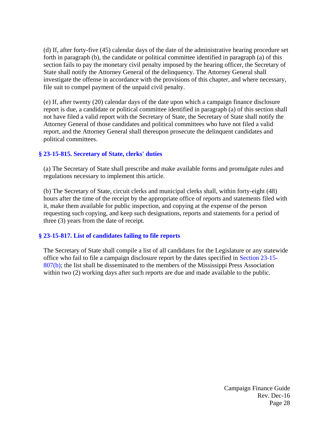(d) If, after forty-five (45) calendar days of the date of the administrative hearing procedure set forth in paragraph (b), the candidate or political committee identified in paragraph (a) of this section fails to pay the monetary civil penalty imposed by the hearing officer, the Secretary of State shall notify the Attorney General of the delinquency. The Attorney General shall investigate the offense in accordance with the provisions of this chapter, and where necessary, file suit to compel payment of the unpaid civil penalty.

(e) If, after twenty (20) calendar days of the date upon which a campaign finance disclosure report is due, a candidate or political committee identified in paragraph (a) of this section shall not have filed a valid report with the Secretary of State, the Secretary of State shall notify the Attorney General of those candidates and political committees who have not filed a valid report, and the Attorney General shall thereupon prosecute the delinquent candidates and political committees.

### **[§ 23-15-815. Secretary of State, clerks' duties](http://www.westlaw.com/Find/Default.wl?rs=dfa1.0&vr=2.0&DB=MS-ST-ANN&DocName=LK%28MSSTS23-15-815%29&FindType=l)**

(a) The Secretary of State shall prescribe and make available forms and promulgate rules and regulations necessary to implement this article.

(b) The Secretary of State, circuit clerks and municipal clerks shall, within forty-eight (48) hours after the time of the receipt by the appropriate office of reports and statements filed with it, make them available for public inspection, and copying at the expense of the person requesting such copying, and keep such designations, reports and statements for a period of three (3) years from the date of receipt.

### **[§ 23-15-817. List of candidates failing to file reports](http://www.westlaw.com/Find/Default.wl?rs=dfa1.0&vr=2.0&DB=MS-ST-ANN&DocName=LK%28MSSTS23-15-817%29&FindType=l)**

The Secretary of State shall compile a list of all candidates for the Legislature or any statewide office who fail to file a campaign disclosure report by the dates specified in [Section 23-15-](http://www.westlaw.com/Find/Default.wl?rs=dfa1.0&vr=2.0&DB=1000933&DocName=MSSTS23-15-807&FindType=L&ReferencePositionType=T&ReferencePosition=SP_a83b000018c76) [807\(b\);](http://www.westlaw.com/Find/Default.wl?rs=dfa1.0&vr=2.0&DB=1000933&DocName=MSSTS23-15-807&FindType=L&ReferencePositionType=T&ReferencePosition=SP_a83b000018c76) the list shall be disseminated to the members of the Mississippi Press Association within two (2) working days after such reports are due and made available to the public.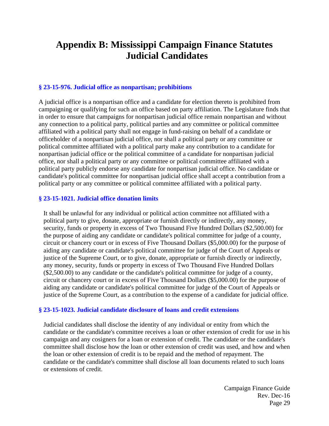### <span id="page-28-0"></span>**Appendix B: Mississippi Campaign Finance Statutes Judicial Candidates**

### **§ 23-15-976. Judicial office as nonpartisan; prohibitions**

A judicial office is a nonpartisan office and a candidate for election thereto is prohibited from campaigning or qualifying for such an office based on party affiliation. The Legislature finds that in order to ensure that campaigns for nonpartisan judicial office remain nonpartisan and without any connection to a political party, political parties and any committee or political committee affiliated with a political party shall not engage in fund-raising on behalf of a candidate or officeholder of a nonpartisan judicial office, nor shall a political party or any committee or political committee affiliated with a political party make any contribution to a candidate for nonpartisan judicial office or the political committee of a candidate for nonpartisan judicial office, nor shall a political party or any committee or political committee affiliated with a political party publicly endorse any candidate for nonpartisan judicial office. No candidate or candidate's political committee for nonpartisan judicial office shall accept a contribution from a political party or any committee or political committee affiliated with a political party.

### **[§ 23-15-1021. Judicial office donation limits](http://www.westlaw.com/Find/Default.wl?rs=dfa1.0&vr=2.0&DB=MS-ST-ANN&DocName=LK%28MSSTS23-15-1021%29&FindType=l)**

It shall be unlawful for any individual or political action committee not affiliated with a political party to give, donate, appropriate or furnish directly or indirectly, any money, security, funds or property in excess of Two Thousand Five Hundred Dollars (\$2,500.00) for the purpose of aiding any candidate or candidate's political committee for judge of a county, circuit or chancery court or in excess of Five Thousand Dollars (\$5,000.00) for the purpose of aiding any candidate or candidate's political committee for judge of the Court of Appeals or justice of the Supreme Court, or to give, donate, appropriate or furnish directly or indirectly, any money, security, funds or property in excess of Two Thousand Five Hundred Dollars (\$2,500.00) to any candidate or the candidate's political committee for judge of a county, circuit or chancery court or in excess of Five Thousand Dollars (\$5,000.00) for the purpose of aiding any candidate or candidate's political committee for judge of the Court of Appeals or justice of the Supreme Court, as a contribution to the expense of a candidate for judicial office.

#### **[§ 23-15-1023. Judicial candidate disclosure of loans and credit extensions](http://www.westlaw.com/Find/Default.wl?rs=dfa1.0&vr=2.0&DB=MS-ST-ANN&DocName=LK%28MSSTS23-15-1023%29&FindType=l)**

Judicial candidates shall disclose the identity of any individual or entity from which the candidate or the candidate's committee receives a loan or other extension of credit for use in his campaign and any cosigners for a loan or extension of credit. The candidate or the candidate's committee shall disclose how the loan or other extension of credit was used, and how and when the loan or other extension of credit is to be repaid and the method of repayment. The candidate or the candidate's committee shall disclose all loan documents related to such loans or extensions of credit.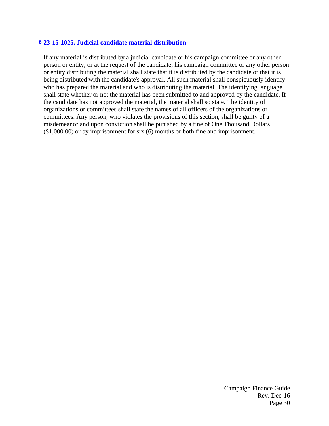#### **§ 23-15-1025. Judicial [candidate material distribution](http://www.westlaw.com/Find/Default.wl?rs=dfa1.0&vr=2.0&DB=MS-ST-ANN&DocName=LK%28MSSTS23-15-1025%29&FindType=l)**

If any material is distributed by a judicial candidate or his campaign committee or any other person or entity, or at the request of the candidate, his campaign committee or any other person or entity distributing the material shall state that it is distributed by the candidate or that it is being distributed with the candidate's approval. All such material shall conspicuously identify who has prepared the material and who is distributing the material. The identifying language shall state whether or not the material has been submitted to and approved by the candidate. If the candidate has not approved the material, the material shall so state. The identity of organizations or committees shall state the names of all officers of the organizations or committees. Any person, who violates the provisions of this section, shall be guilty of a misdemeanor and upon conviction shall be punished by a fine of One Thousand Dollars (\$1,000.00) or by imprisonment for six (6) months or both fine and imprisonment.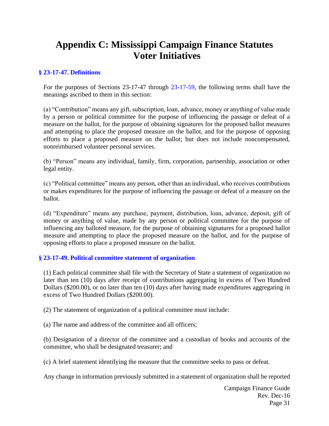# <span id="page-30-0"></span>**Appendix C: Mississippi Campaign Finance Statutes Voter Initiatives**

### **[§ 23-17-47. Definitions](http://www.westlaw.com/Find/Default.wl?rs=dfa1.0&vr=2.0&DB=MS-ST-ANN&DocName=LK%28MSSTS23-17-47%29&FindType=l)**

For the purposes of Sections 23-17-47 through [23-17-59,](http://www.westlaw.com/Find/Default.wl?rs=dfa1.0&vr=2.0&DB=1000933&DocName=MSSTS23-17-59&FindType=L) the following terms shall have the meanings ascribed to them in this section:

(a) "Contribution" means any gift, subscription, loan, advance, money or anything of value made by a person or political committee for the purpose of influencing the passage or defeat of a measure on the ballot, for the purpose of obtaining signatures for the proposed ballot measures and attempting to place the proposed measure on the ballot, and for the purpose of opposing efforts to place a proposed measure on the ballot; but does not include noncompensated, nonreimbursed volunteer personal services.

(b) "Person" means any individual, family, firm, corporation, partnership, association or other legal entity.

(c) "Political committee" means any person, other than an individual, who receives contributions or makes expenditures for the purpose of influencing the passage or defeat of a measure on the ballot.

(d) "Expenditure" means any purchase, payment, distribution, loan, advance, deposit, gift of money or anything of value, made by any person or political committee for the purpose of influencing any balloted measure, for the purpose of obtaining signatures for a proposed ballot measure and attempting to place the proposed measure on the ballot, and for the purpose of opposing efforts to place a proposed measure on the ballot.

### **[§ 23-17-49. Political committee statement of organization](http://www.westlaw.com/Find/Default.wl?rs=dfa1.0&vr=2.0&DB=MS-ST-ANN&DocName=LK%28MSSTS23-17-49%29&FindType=l)**

(1) Each political committee shall file with the Secretary of State a statement of organization no later than ten (10) days after receipt of contributions aggregating in excess of Two Hundred Dollars (\$200.00), or no later than ten (10) days after having made expenditures aggregating in excess of Two Hundred Dollars (\$200.00).

(2) The statement of organization of a political committee must include:

(a) The name and address of the committee and all officers;

(b) Designation of a director of the committee and a custodian of books and accounts of the committee, who shall be designated treasurer; and

(c) A brief statement identifying the measure that the committee seeks to pass or defeat.

Any change in information previously submitted in a statement of organization shall be reported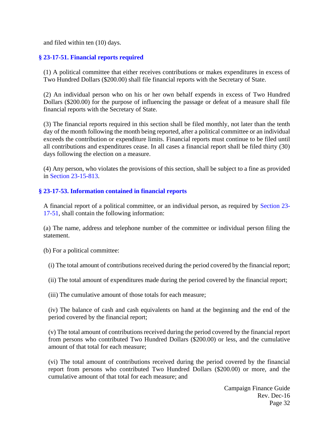and filed within ten (10) days.

### **[§ 23-17-51. Financial reports required](http://www.westlaw.com/Find/Default.wl?rs=dfa1.0&vr=2.0&DB=MS-ST-ANN&DocName=LK%28MSSTS23-17-51%29&FindType=l)**

(1) A political committee that either receives contributions or makes expenditures in excess of Two Hundred Dollars (\$200.00) shall file financial reports with the Secretary of State.

(2) An individual person who on his or her own behalf expends in excess of Two Hundred Dollars (\$200.00) for the purpose of influencing the passage or defeat of a measure shall file financial reports with the Secretary of State.

(3) The financial reports required in this section shall be filed monthly, not later than the tenth day of the month following the month being reported, after a political committee or an individual exceeds the contribution or expenditure limits. Financial reports must continue to be filed until all contributions and expenditures cease. In all cases a financial report shall be filed thirty (30) days following the election on a measure.

(4) Any person, who violates the provisions of this section, shall be subject to a fine as provided in [Section 23-15-813.](http://www.westlaw.com/Find/Default.wl?rs=dfa1.0&vr=2.0&DB=1000933&DocName=MSSTS23-15-813&FindType=L)

### **[§ 23-17-53. Information contained in financial reports](http://www.westlaw.com/Find/Default.wl?rs=dfa1.0&vr=2.0&DB=MS-ST-ANN&DocName=LK%28MSSTS23-17-53%29&FindType=l)**

A financial report of a political committee, or an individual person, as required by [Section 23-](http://www.westlaw.com/Find/Default.wl?rs=dfa1.0&vr=2.0&DB=1000933&DocName=MSSTS23-17-51&FindType=L) [17-51,](http://www.westlaw.com/Find/Default.wl?rs=dfa1.0&vr=2.0&DB=1000933&DocName=MSSTS23-17-51&FindType=L) shall contain the following information:

(a) The name, address and telephone number of the committee or individual person filing the statement.

(b) For a political committee:

(i) The total amount of contributions received during the period covered by the financial report;

(ii) The total amount of expenditures made during the period covered by the financial report;

(iii) The cumulative amount of those totals for each measure;

(iv) The balance of cash and cash equivalents on hand at the beginning and the end of the period covered by the financial report;

(v) The total amount of contributions received during the period covered by the financial report from persons who contributed Two Hundred Dollars (\$200.00) or less, and the cumulative amount of that total for each measure;

(vi) The total amount of contributions received during the period covered by the financial report from persons who contributed Two Hundred Dollars (\$200.00) or more, and the cumulative amount of that total for each measure; and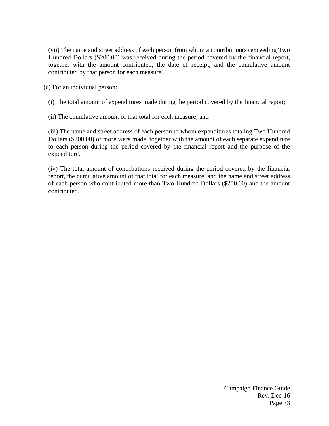(vii) The name and street address of each person from whom a contribution(s) exceeding Two Hundred Dollars (\$200.00) was received during the period covered by the financial report, together with the amount contributed, the date of receipt, and the cumulative amount contributed by that person for each measure.

(c) For an individual person:

(i) The total amount of expenditures made during the period covered by the financial report;

(ii) The cumulative amount of that total for each measure; and

(iii) The name and street address of each person to whom expenditures totaling Two Hundred Dollars (\$200.00) or more were made, together with the amount of each separate expenditure to each person during the period covered by the financial report and the purpose of the expenditure.

(iv) The total amount of contributions received during the period covered by the financial report, the cumulative amount of that total for each measure, and the name and street address of each person who contributed more than Two Hundred Dollars (\$200.00) and the amount contributed.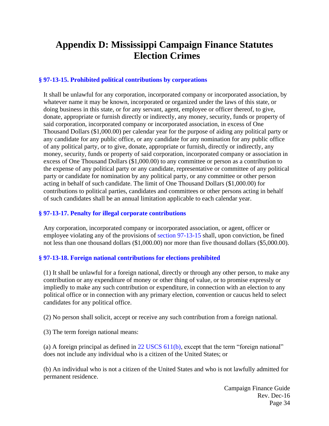# <span id="page-33-0"></span>**Appendix D: Mississippi Campaign Finance Statutes Election Crimes**

### **[§ 97-13-15. Prohibited political contributions by corporations](http://www.westlaw.com/Find/Default.wl?rs=dfa1.0&vr=2.0&DB=MS-ST-ANN&DocName=LK%28MSSTS97-13-15%29&FindType=l)**

It shall be unlawful for any corporation, incorporated company or incorporated association, by whatever name it may be known, incorporated or organized under the laws of this state, or doing business in this state, or for any servant, agent, employee or officer thereof, to give, donate, appropriate or furnish directly or indirectly, any money, security, funds or property of said corporation, incorporated company or incorporated association, in excess of One Thousand Dollars (\$1,000.00) per calendar year for the purpose of aiding any political party or any candidate for any public office, or any candidate for any nomination for any public office of any political party, or to give, donate, appropriate or furnish, directly or indirectly, any money, security, funds or property of said corporation, incorporated company or association in excess of One Thousand Dollars (\$1,000.00) to any committee or person as a contribution to the expense of any political party or any candidate, representative or committee of any political party or candidate for nomination by any political party, or any committee or other person acting in behalf of such candidate. The limit of One Thousand Dollars (\$1,000.00) for contributions to political parties, candidates and committees or other persons acting in behalf of such candidates shall be an annual limitation applicable to each calendar year.

### **[§ 97-13-17. Penalty for illegal corporate contributions](http://www.westlaw.com/Find/Default.wl?rs=dfa1.0&vr=2.0&DB=MS-ST-ANN&DocName=LK%28MSSTS97-13-17%29&FindType=l)**

Any corporation, incorporated company or incorporated association, or agent, officer or employee violating any of the provisions of [section 97-13-15](http://www.westlaw.com/Find/Default.wl?rs=dfa1.0&vr=2.0&DB=1000933&DocName=MSSTS97-13-15&FindType=L) shall, upon conviction, be fined not less than one thousand dollars (\$1,000.00) nor more than five thousand dollars (\$5,000.00).

### **[§ 97-13-18. Foreign national contributions for elections prohibited](http://www.westlaw.com/Find/Default.wl?rs=dfa1.0&vr=2.0&DB=MS-ST-ANN&DocName=LK%28MSSTS97-13-18%29&FindType=l)**

(1) It shall be unlawful for a foreign national, directly or through any other person, to make any contribution or any expenditure of money or other thing of value, or to promise expressly or impliedly to make any such contribution or expenditure, in connection with an election to any political office or in connection with any primary election, convention or caucus held to select candidates for any political office.

(2) No person shall solicit, accept or receive any such contribution from a foreign national.

(3) The term foreign national means:

(a) A foreign principal as defined in [22 USCS 611\(b\),](http://www.westlaw.com/Find/Default.wl?rs=dfa1.0&vr=2.0&DB=1000546&DocName=22USCAS611&FindType=L&ReferencePositionType=T&ReferencePosition=SP_a83b000018c76) except that the term "foreign national" does not include any individual who is a citizen of the United States; or

(b) An individual who is not a citizen of the United States and who is not lawfully admitted for permanent residence.